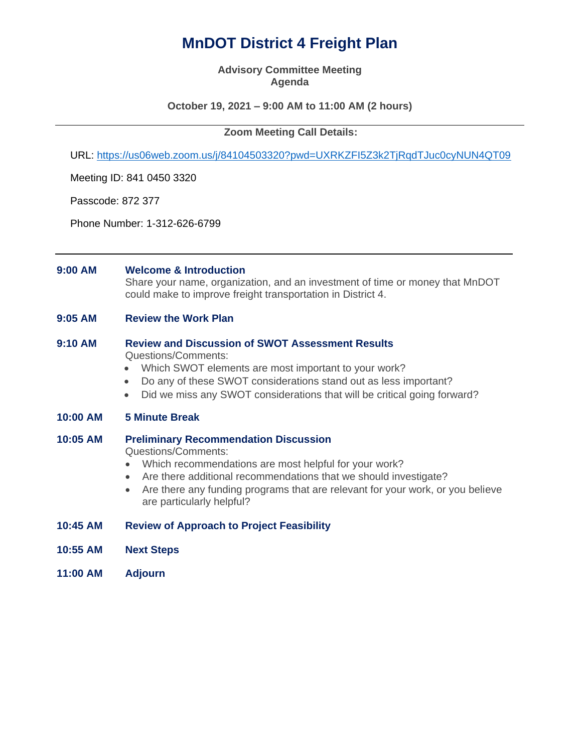# **MnDOT District 4 Freight Plan**

#### **Advisory Committee Meeting Agenda**

## **October 19, 2021 – 9:00 AM to 11:00 AM (2 hours)**

### **Zoom Meeting Call Details:**

URL:<https://us06web.zoom.us/j/84104503320?pwd=UXRKZFI5Z3k2TjRqdTJuc0cyNUN4QT09>

Meeting ID: 841 0450 3320

Passcode: 872 377

Phone Number: 1-312-626-6799

#### **9:00 AM Welcome & Introduction**

Share your name, organization, and an investment of time or money that MnDOT could make to improve freight transportation in District 4.

**9:05 AM Review the Work Plan**

# **9:10 AM Review and Discussion of SWOT Assessment Results**

Questions/Comments:

- Which SWOT elements are most important to your work?
- Do any of these SWOT considerations stand out as less important?
- Did we miss any SWOT considerations that will be critical going forward?

### **10:00 AM 5 Minute Break**

**10:05 AM Preliminary Recommendation Discussion**

Questions/Comments:

- Which recommendations are most helpful for your work?
- Are there additional recommendations that we should investigate?
- Are there any funding programs that are relevant for your work, or you believe are particularly helpful?
- **10:45 AM Review of Approach to Project Feasibility**
- **10:55 AM Next Steps**
- **11:00 AM Adjourn**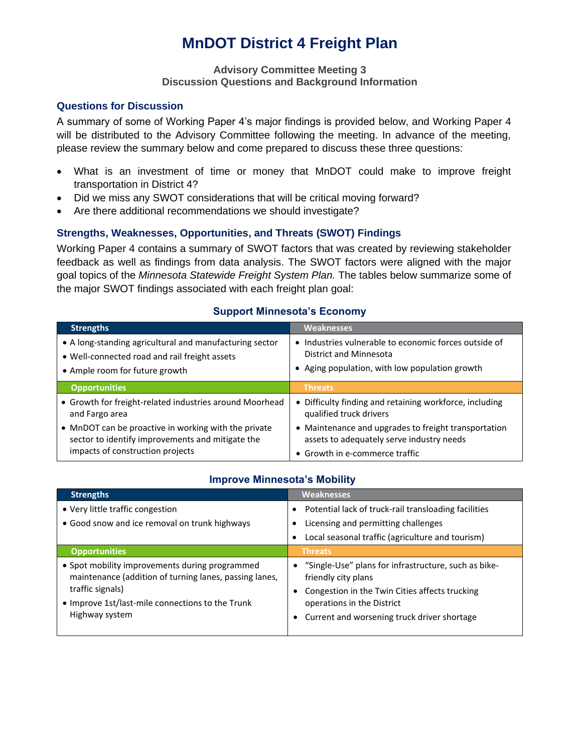# **MnDOT District 4 Freight Plan**

## **Advisory Committee Meeting 3 Discussion Questions and Background Information**

## **Questions for Discussion**

A summary of some of Working Paper 4's major findings is provided below, and Working Paper 4 will be distributed to the Advisory Committee following the meeting. In advance of the meeting, please review the summary below and come prepared to discuss these three questions:

- What is an investment of time or money that MnDOT could make to improve freight transportation in District 4?
- Did we miss any SWOT considerations that will be critical moving forward?
- Are there additional recommendations we should investigate?

# **Strengths, Weaknesses, Opportunities, and Threats (SWOT) Findings**

Working Paper 4 contains a summary of SWOT factors that was created by reviewing stakeholder feedback as well as findings from data analysis. The SWOT factors were aligned with the major goal topics of the *Minnesota Statewide Freight System Plan.* The tables below summarize some of the major SWOT findings associated with each freight plan goal:

| <b>Weaknesses</b>                                                                                                                   |
|-------------------------------------------------------------------------------------------------------------------------------------|
| • Industries vulnerable to economic forces outside of<br>District and Minnesota<br>• Aging population, with low population growth   |
| <b>Threats</b>                                                                                                                      |
| • Difficulty finding and retaining workforce, including<br>qualified truck drivers                                                  |
| • Maintenance and upgrades to freight transportation<br>assets to adequately serve industry needs<br>• Growth in e-commerce traffic |
|                                                                                                                                     |

# **Support Minnesota's Economy**

# **Improve Minnesota's Mobility**

| <b>Strengths</b>                                                                                                                                                                                   | <b>Weaknesses</b>                                                                                                                                                                                            |
|----------------------------------------------------------------------------------------------------------------------------------------------------------------------------------------------------|--------------------------------------------------------------------------------------------------------------------------------------------------------------------------------------------------------------|
| • Very little traffic congestion                                                                                                                                                                   | • Potential lack of truck-rail transloading facilities                                                                                                                                                       |
| • Good snow and ice removal on trunk highways                                                                                                                                                      | Licensing and permitting challenges                                                                                                                                                                          |
|                                                                                                                                                                                                    | Local seasonal traffic (agriculture and tourism)                                                                                                                                                             |
| <b>Opportunities</b>                                                                                                                                                                               | <b>Threats</b>                                                                                                                                                                                               |
| • Spot mobility improvements during programmed<br>maintenance (addition of turning lanes, passing lanes,<br>traffic signals)<br>• Improve 1st/last-mile connections to the Trunk<br>Highway system | • "Single-Use" plans for infrastructure, such as bike-<br>friendly city plans<br>Congestion in the Twin Cities affects trucking<br>operations in the District<br>Current and worsening truck driver shortage |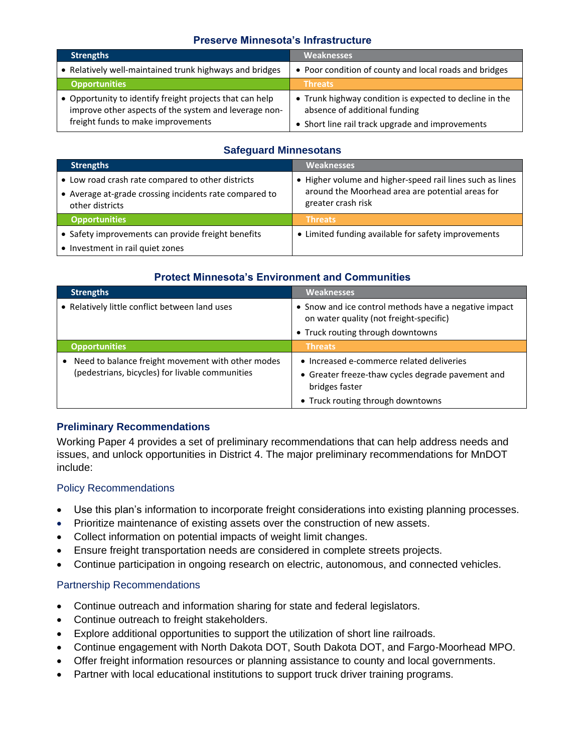# **Preserve Minnesota's Infrastructure**

| <b>Strengths</b>                                                                                                                                        | <b>Weaknesses</b>                                                                                                                            |
|---------------------------------------------------------------------------------------------------------------------------------------------------------|----------------------------------------------------------------------------------------------------------------------------------------------|
| • Relatively well-maintained trunk highways and bridges                                                                                                 | • Poor condition of county and local roads and bridges                                                                                       |
| <b>Opportunities</b>                                                                                                                                    | <b>Threats</b>                                                                                                                               |
| • Opportunity to identify freight projects that can help<br>improve other aspects of the system and leverage non-<br>freight funds to make improvements | • Trunk highway condition is expected to decline in the<br>absence of additional funding<br>• Short line rail track upgrade and improvements |

# **Safeguard Minnesotans**

| <b>Strengths</b>                                                                                                               | <b>Weaknesses</b>                                                                                                                   |
|--------------------------------------------------------------------------------------------------------------------------------|-------------------------------------------------------------------------------------------------------------------------------------|
| • Low road crash rate compared to other districts<br>• Average at-grade crossing incidents rate compared to<br>other districts | • Higher volume and higher-speed rail lines such as lines<br>around the Moorhead area are potential areas for<br>greater crash risk |
| <b>Opportunities</b>                                                                                                           | <b>Threats</b>                                                                                                                      |
| • Safety improvements can provide freight benefits                                                                             | • Limited funding available for safety improvements                                                                                 |
| • Investment in rail quiet zones                                                                                               |                                                                                                                                     |

# **Protect Minnesota's Environment and Communities**

| <b>Strengths</b>                                                                                     | <b>Weaknesses</b>                                                                                                                                     |
|------------------------------------------------------------------------------------------------------|-------------------------------------------------------------------------------------------------------------------------------------------------------|
| • Relatively little conflict between land uses                                                       | • Snow and ice control methods have a negative impact<br>on water quality (not freight-specific)<br>• Truck routing through downtowns                 |
| <b>Opportunities</b>                                                                                 | <b>Threats</b>                                                                                                                                        |
| Need to balance freight movement with other modes<br>(pedestrians, bicycles) for livable communities | • Increased e-commerce related deliveries<br>• Greater freeze-thaw cycles degrade pavement and<br>bridges faster<br>• Truck routing through downtowns |

# **Preliminary Recommendations**

Working Paper 4 provides a set of preliminary recommendations that can help address needs and issues, and unlock opportunities in District 4. The major preliminary recommendations for MnDOT include:

# Policy Recommendations

- Use this plan's information to incorporate freight considerations into existing planning processes.
- Prioritize maintenance of existing assets over the construction of new assets.
- Collect information on potential impacts of weight limit changes.
- Ensure freight transportation needs are considered in complete streets projects.
- Continue participation in ongoing research on electric, autonomous, and connected vehicles.

# Partnership Recommendations

- Continue outreach and information sharing for state and federal legislators.
- Continue outreach to freight stakeholders.
- Explore additional opportunities to support the utilization of short line railroads.
- Continue engagement with North Dakota DOT, South Dakota DOT, and Fargo-Moorhead MPO.
- Offer freight information resources or planning assistance to county and local governments.
- Partner with local educational institutions to support truck driver training programs.